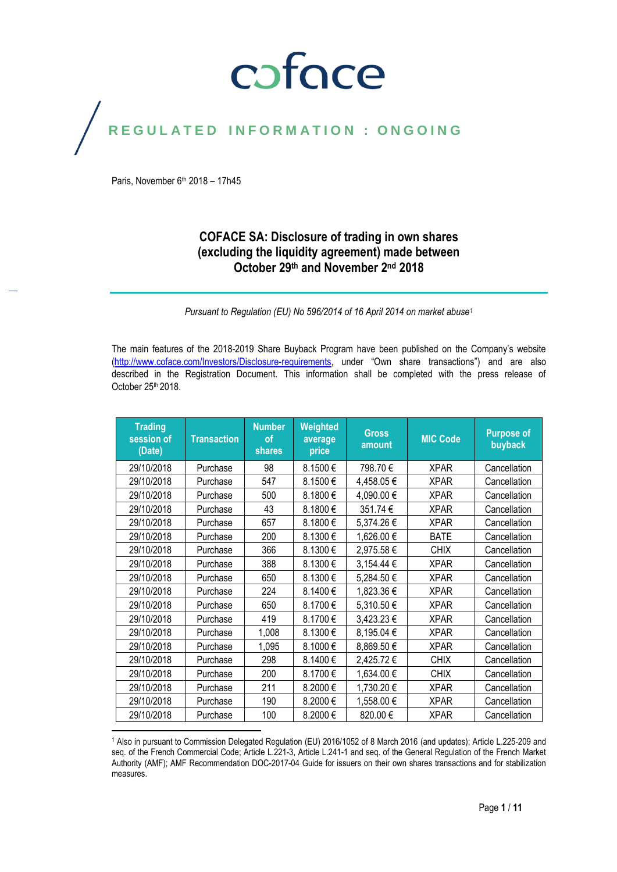### coface

### REGULATED INFORMATION : ONGOING

Paris, November  $6<sup>th</sup>$  2018 – 17h45

#### **COFACE SA: Disclosure of trading in own shares (excluding the liquidity agreement) made between October 29 th and November 2 nd 2018**

*Pursuant to Regulation (EU) No 596/2014 of 16 April 2014 on market abuse<sup>1</sup>*

The main features of the 2018-2019 Share Buyback Program have been published on the Company's website [\(http://www.coface.com/Investors/Disclosure-requirements](http://www.coface.com/Investors/Disclosure-requirements), under "Own share transactions") and are also described in the Registration Document. This information shall be completed with the press release of October 25<sup>th</sup> 2018.

| <b>Trading</b><br>session of<br>(Date) | <b>Transaction</b> | <b>Number</b><br>οf<br>shares | Weighted<br>average<br>price | <b>Gross</b><br>amount | <b>MIC Code</b> | <b>Purpose of</b><br>buyback |
|----------------------------------------|--------------------|-------------------------------|------------------------------|------------------------|-----------------|------------------------------|
| 29/10/2018                             | Purchase           | 98                            | 8.1500€                      | 798.70€                | <b>XPAR</b>     | Cancellation                 |
| 29/10/2018                             | Purchase           | 547                           | 8.1500€                      | 4,458.05€              | <b>XPAR</b>     | Cancellation                 |
| 29/10/2018                             | Purchase           | 500                           | 8.1800€                      | 4,090.00 €             | <b>XPAR</b>     | Cancellation                 |
| 29/10/2018                             | Purchase           | 43                            | 8.1800€                      | 351.74 €               | <b>XPAR</b>     | Cancellation                 |
| 29/10/2018                             | Purchase           | 657                           | 8.1800€                      | 5,374.26€              | <b>XPAR</b>     | Cancellation                 |
| 29/10/2018                             | Purchase           | 200                           | 8.1300€                      | 1,626.00 €             | <b>BATE</b>     | Cancellation                 |
| 29/10/2018                             | Purchase           | 366                           | 8.1300€                      | 2,975.58€              | <b>CHIX</b>     | Cancellation                 |
| 29/10/2018                             | Purchase           | 388                           | 8.1300€                      | 3,154.44 €             | <b>XPAR</b>     | Cancellation                 |
| 29/10/2018                             | Purchase           | 650                           | 8.1300€                      | 5,284.50€              | <b>XPAR</b>     | Cancellation                 |
| 29/10/2018                             | Purchase           | 224                           | 8.1400€                      | 1,823.36 €             | <b>XPAR</b>     | Cancellation                 |
| 29/10/2018                             | Purchase           | 650                           | 8.1700€                      | 5,310.50 €             | <b>XPAR</b>     | Cancellation                 |
| 29/10/2018                             | Purchase           | 419                           | 8.1700€                      | 3,423.23 €             | <b>XPAR</b>     | Cancellation                 |
| 29/10/2018                             | Purchase           | 1,008                         | 8.1300€                      | 8,195.04 €             | <b>XPAR</b>     | Cancellation                 |
| 29/10/2018                             | Purchase           | 1,095                         | 8.1000€                      | 8,869.50€              | <b>XPAR</b>     | Cancellation                 |
| 29/10/2018                             | Purchase           | 298                           | 8.1400€                      | 2,425.72€              | <b>CHIX</b>     | Cancellation                 |
| 29/10/2018                             | Purchase           | 200                           | 8.1700€                      | 1,634.00 €             | <b>CHIX</b>     | Cancellation                 |
| 29/10/2018                             | Purchase           | 211                           | 8.2000€                      | 1,730.20 €             | <b>XPAR</b>     | Cancellation                 |
| 29/10/2018                             | Purchase           | 190                           | 8.2000€                      | 1,558.00 €             | <b>XPAR</b>     | Cancellation                 |
| 29/10/2018                             | Purchase           | 100                           | 8.2000€                      | 820.00€                | <b>XPAR</b>     | Cancellation                 |

 $\overline{\phantom{a}}$ <sup>1</sup> Also in pursuant to Commission Delegated Regulation (EU) 2016/1052 of 8 March 2016 (and updates); Article L.225-209 and seq. of the French Commercial Code; Article L.221-3, Article L.241-1 and seq. of the General Regulation of the French Market Authority (AMF); AMF Recommendation DOC-2017-04 Guide for issuers on their own shares transactions and for stabilization measures.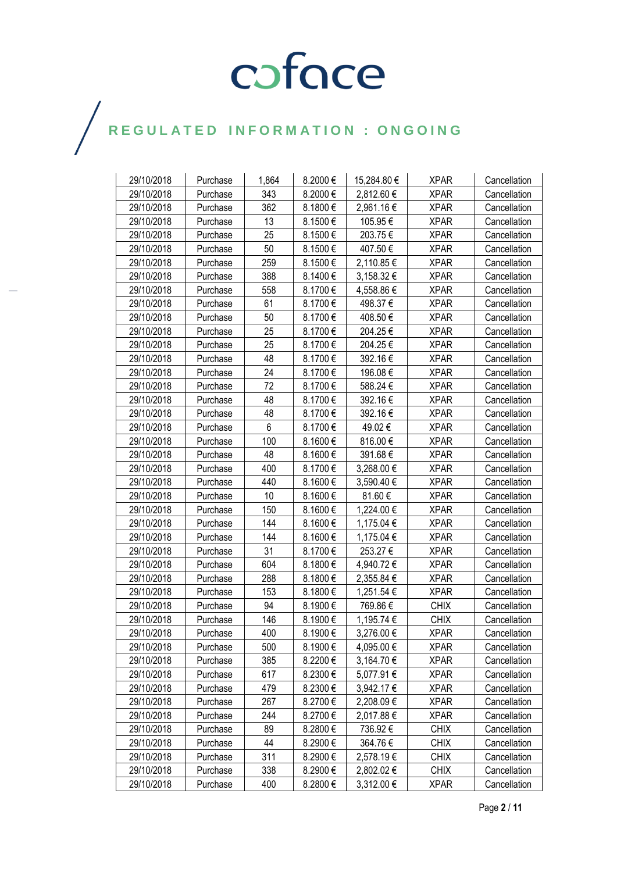| 29/10/2018 | Purchase | 1,864 | 8.2000€  | 15,284.80 € | <b>XPAR</b> | Cancellation |
|------------|----------|-------|----------|-------------|-------------|--------------|
| 29/10/2018 | Purchase | 343   | 8.2000€  | 2,812.60 €  | <b>XPAR</b> | Cancellation |
| 29/10/2018 | Purchase | 362   | 8.1800€  | 2,961.16€   | <b>XPAR</b> | Cancellation |
| 29/10/2018 | Purchase | 13    | 8.1500€  | 105.95€     | <b>XPAR</b> | Cancellation |
| 29/10/2018 | Purchase | 25    | 8.1500€  | 203.75€     | <b>XPAR</b> | Cancellation |
| 29/10/2018 | Purchase | 50    | 8.1500€  | 407.50 €    | <b>XPAR</b> | Cancellation |
| 29/10/2018 | Purchase | 259   | 8.1500€  | 2,110.85 €  | <b>XPAR</b> | Cancellation |
| 29/10/2018 | Purchase | 388   | 8.1400€  | 3,158.32 €  | <b>XPAR</b> | Cancellation |
| 29/10/2018 | Purchase | 558   | 8.1700€  | 4,558.86 €  | <b>XPAR</b> | Cancellation |
| 29/10/2018 | Purchase | 61    | 8.1700€  | 498.37€     | <b>XPAR</b> | Cancellation |
| 29/10/2018 | Purchase | 50    | 8.1700€  | 408.50€     | <b>XPAR</b> | Cancellation |
| 29/10/2018 | Purchase | 25    | 8.1700€  | 204.25€     | <b>XPAR</b> | Cancellation |
| 29/10/2018 | Purchase | 25    | 8.1700€  | 204.25€     | <b>XPAR</b> | Cancellation |
| 29/10/2018 | Purchase | 48    | 8.1700€  | 392.16€     | <b>XPAR</b> | Cancellation |
| 29/10/2018 | Purchase | 24    | 8.1700€  | 196.08€     | <b>XPAR</b> | Cancellation |
| 29/10/2018 | Purchase | 72    | 8.1700€  | 588.24 €    | <b>XPAR</b> | Cancellation |
| 29/10/2018 | Purchase | 48    | 8.1700€  | 392.16€     | <b>XPAR</b> | Cancellation |
| 29/10/2018 | Purchase | 48    | 8.1700€  | 392.16 €    | <b>XPAR</b> | Cancellation |
| 29/10/2018 | Purchase | 6     | 8.1700€  | 49.02€      | <b>XPAR</b> | Cancellation |
| 29/10/2018 | Purchase | 100   | 8.1600€  | 816.00€     | <b>XPAR</b> | Cancellation |
| 29/10/2018 | Purchase | 48    | 8.1600€  | 391.68€     | <b>XPAR</b> | Cancellation |
| 29/10/2018 | Purchase | 400   | 8.1700€  | 3,268.00 €  | <b>XPAR</b> | Cancellation |
| 29/10/2018 | Purchase | 440   | 8.1600€  | 3,590.40 €  | <b>XPAR</b> | Cancellation |
| 29/10/2018 | Purchase | 10    | 8.1600€  | 81.60€      | <b>XPAR</b> | Cancellation |
| 29/10/2018 | Purchase | 150   | 8.1600€  | 1,224.00 €  | <b>XPAR</b> | Cancellation |
| 29/10/2018 | Purchase | 144   | 8.1600€  | 1,175.04 €  | <b>XPAR</b> | Cancellation |
| 29/10/2018 | Purchase | 144   | 8.1600€  | 1,175.04 €  | <b>XPAR</b> | Cancellation |
| 29/10/2018 | Purchase | 31    | 8.1700€  | 253.27€     | <b>XPAR</b> | Cancellation |
| 29/10/2018 | Purchase | 604   | 8.1800€  | 4,940.72 €  | <b>XPAR</b> | Cancellation |
| 29/10/2018 | Purchase | 288   | 8.1800€  | 2,355.84 €  | <b>XPAR</b> | Cancellation |
| 29/10/2018 | Purchase | 153   | 8.1800€  | 1,251.54 €  | <b>XPAR</b> | Cancellation |
| 29/10/2018 | Purchase | 94    | 8.1900€  | 769.86 €    | <b>CHIX</b> | Cancellation |
| 29/10/2018 | Purchase | 146   | 8.1900€  | 1,195.74 €  | <b>CHIX</b> | Cancellation |
| 29/10/2018 | Purchase | 400   | 8.1900€  | 3,276.00 €  | <b>XPAR</b> | Cancellation |
| 29/10/2018 | Purchase | 500   | 8.1900 € | 4,095.00 €  | <b>XPAR</b> | Cancellation |
| 29/10/2018 | Purchase | 385   | 8.2200€  | 3,164.70 €  | <b>XPAR</b> | Cancellation |
| 29/10/2018 | Purchase | 617   | 8.2300€  | 5,077.91 €  | <b>XPAR</b> | Cancellation |
| 29/10/2018 | Purchase | 479   | 8.2300€  | 3,942.17 €  | <b>XPAR</b> | Cancellation |
| 29/10/2018 | Purchase | 267   | 8.2700€  | 2,208.09€   | <b>XPAR</b> | Cancellation |
| 29/10/2018 | Purchase | 244   | 8.2700€  | 2,017.88 €  | <b>XPAR</b> | Cancellation |
| 29/10/2018 | Purchase | 89    | 8.2800€  | 736.92 €    | <b>CHIX</b> | Cancellation |
| 29/10/2018 | Purchase | 44    | 8.2900€  | 364.76€     | <b>CHIX</b> | Cancellation |
| 29/10/2018 | Purchase | 311   | 8.2900€  | 2,578.19€   | <b>CHIX</b> | Cancellation |
| 29/10/2018 | Purchase | 338   | 8.2900€  | 2,802.02 €  | <b>CHIX</b> | Cancellation |
| 29/10/2018 | Purchase | 400   | 8.2800€  | 3,312.00 €  | <b>XPAR</b> | Cancellation |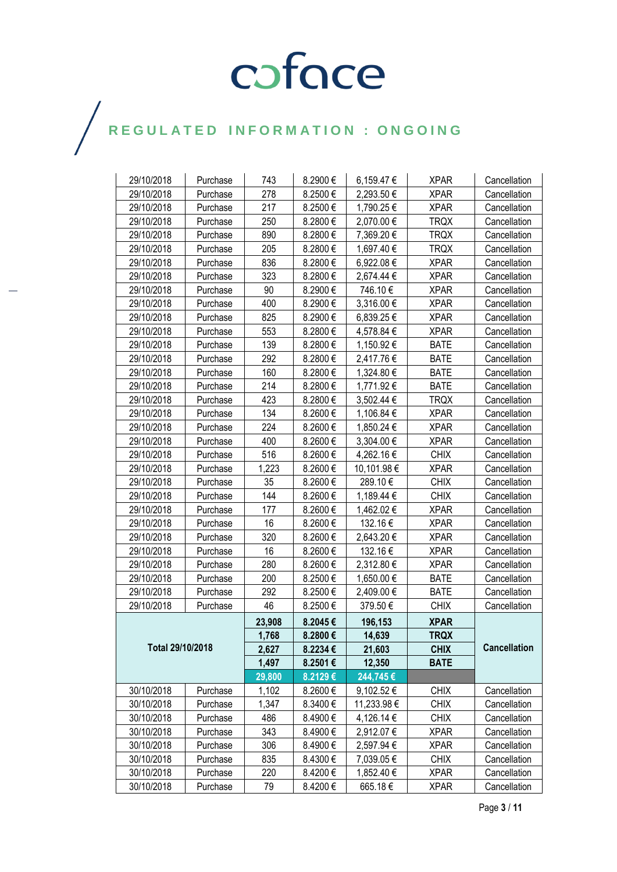| 29/10/2018       | Purchase | 743    | 8.2900€      | 6,159.47 €  | <b>XPAR</b> | Cancellation        |
|------------------|----------|--------|--------------|-------------|-------------|---------------------|
| 29/10/2018       | Purchase | 278    | 8.2500€      | 2,293.50 €  | <b>XPAR</b> | Cancellation        |
| 29/10/2018       | Purchase | 217    | 8.2500€      | 1,790.25 €  | <b>XPAR</b> | Cancellation        |
| 29/10/2018       | Purchase | 250    | 8.2800€      | 2,070.00 €  | <b>TRQX</b> | Cancellation        |
| 29/10/2018       | Purchase | 890    | 8.2800€      | 7,369.20 €  | <b>TRQX</b> | Cancellation        |
| 29/10/2018       | Purchase | 205    | 8.2800€      | 1,697.40 €  | <b>TRQX</b> | Cancellation        |
| 29/10/2018       | Purchase | 836    | 8.2800€      | 6,922.08€   | <b>XPAR</b> | Cancellation        |
| 29/10/2018       | Purchase | 323    | 8.2800€      | 2,674.44 €  | <b>XPAR</b> | Cancellation        |
| 29/10/2018       | Purchase | 90     | 8.2900€      | 746.10€     | <b>XPAR</b> | Cancellation        |
| 29/10/2018       | Purchase | 400    | 8.2900€      | 3,316.00 €  | <b>XPAR</b> | Cancellation        |
| 29/10/2018       | Purchase | 825    | 8.2900€      | 6,839.25 €  | <b>XPAR</b> | Cancellation        |
| 29/10/2018       | Purchase | 553    | 8.2800€      | 4,578.84 €  | <b>XPAR</b> | Cancellation        |
| 29/10/2018       | Purchase | 139    | 8.2800€      | 1,150.92 €  | <b>BATE</b> | Cancellation        |
| 29/10/2018       | Purchase | 292    | 8.2800€      | 2,417.76 €  | <b>BATE</b> | Cancellation        |
| 29/10/2018       | Purchase | 160    | 8.2800€      | 1,324.80 €  | <b>BATE</b> | Cancellation        |
| 29/10/2018       | Purchase | 214    | 8.2800€      | 1,771.92 €  | <b>BATE</b> | Cancellation        |
| 29/10/2018       | Purchase | 423    | 8.2800€      | 3,502.44 €  | <b>TRQX</b> | Cancellation        |
| 29/10/2018       | Purchase | 134    | 8.2600€      | 1,106.84 €  | <b>XPAR</b> | Cancellation        |
| 29/10/2018       | Purchase | 224    | 8.2600€      | 1,850.24 €  | <b>XPAR</b> | Cancellation        |
| 29/10/2018       | Purchase | 400    | 8.2600€      | 3,304.00 €  | <b>XPAR</b> | Cancellation        |
| 29/10/2018       | Purchase | 516    | 8.2600€      | 4,262.16 €  | <b>CHIX</b> | Cancellation        |
| 29/10/2018       | Purchase | 1,223  | 8.2600€      | 10,101.98 € | <b>XPAR</b> | Cancellation        |
| 29/10/2018       | Purchase | 35     | 8.2600€      | 289.10€     | <b>CHIX</b> | Cancellation        |
| 29/10/2018       | Purchase | 144    | 8.2600€      | 1,189.44 €  | <b>CHIX</b> | Cancellation        |
| 29/10/2018       | Purchase | 177    | 8.2600€      | 1,462.02 €  | <b>XPAR</b> | Cancellation        |
| 29/10/2018       | Purchase | 16     | 8.2600€      | 132.16€     | <b>XPAR</b> | Cancellation        |
| 29/10/2018       | Purchase | 320    | 8.2600€      | 2,643.20 €  | <b>XPAR</b> | Cancellation        |
| 29/10/2018       | Purchase | 16     | 8.2600€      | 132.16€     | <b>XPAR</b> | Cancellation        |
| 29/10/2018       | Purchase | 280    | 8.2600€      | 2,312.80 €  | <b>XPAR</b> | Cancellation        |
| 29/10/2018       | Purchase | 200    | 8.2500€      | 1,650.00 €  | <b>BATE</b> | Cancellation        |
| 29/10/2018       | Purchase | 292    | 8.2500€      | 2,409.00 €  | <b>BATE</b> | Cancellation        |
| 29/10/2018       | Purchase | 46     | 8.2500€      | 379.50€     | <b>CHIX</b> | Cancellation        |
|                  |          | 23,908 | 8.2045€      | 196,153     | <b>XPAR</b> |                     |
|                  |          | 1,768  | 8.2800€      | 14,639      | <b>TRQX</b> |                     |
| Total 29/10/2018 |          | 2,627  | 8.2234€      | 21,603      | <b>CHIX</b> | <b>Cancellation</b> |
|                  |          | 1,497  | 8.2501€      | 12,350      | <b>BATE</b> |                     |
|                  |          | 29,800 | 8.2129€      | 244,745€    |             |                     |
| 30/10/2018       | Purchase | 1,102  | $8.2600 \in$ | 9,102.52 €  | <b>CHIX</b> | Cancellation        |
| 30/10/2018       | Purchase | 1,347  | 8.3400€      | 11,233.98 € | <b>CHIX</b> | Cancellation        |
| 30/10/2018       | Purchase | 486    | 8.4900€      | 4,126.14 €  | <b>CHIX</b> | Cancellation        |
| 30/10/2018       | Purchase | 343    | 8.4900€      | 2,912.07 €  | <b>XPAR</b> | Cancellation        |
| 30/10/2018       | Purchase | 306    | 8.4900€      | 2,597.94 €  | <b>XPAR</b> | Cancellation        |
| 30/10/2018       | Purchase | 835    | 8.4300€      | 7,039.05 €  | <b>CHIX</b> | Cancellation        |
| 30/10/2018       | Purchase | 220    | 8.4200€      | 1,852.40 €  | <b>XPAR</b> | Cancellation        |
| 30/10/2018       | Purchase | 79     | 8.4200€      | 665.18€     | <b>XPAR</b> | Cancellation        |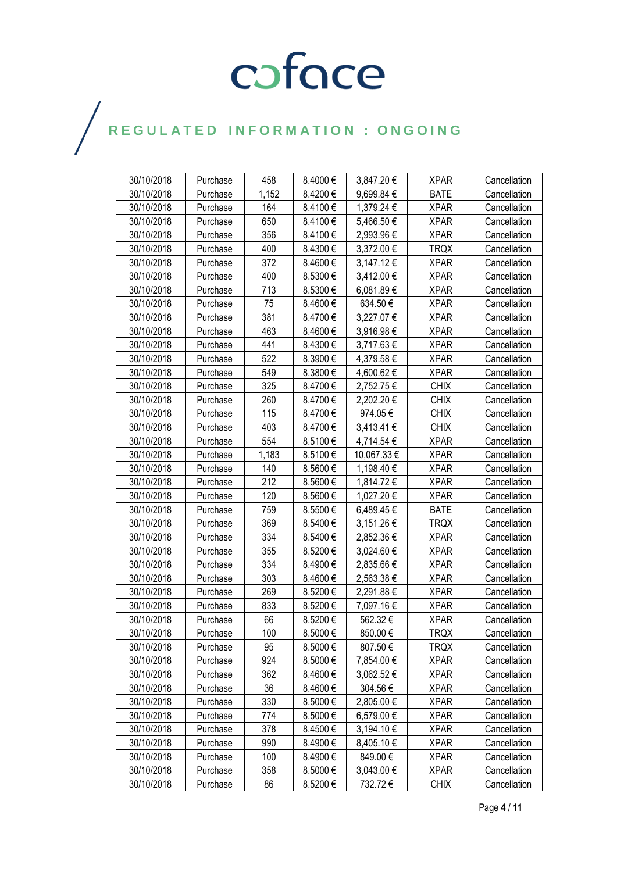| 30/10/2018 | Purchase | 458   | 8.4000€  | 3,847.20 €     | <b>XPAR</b> | Cancellation |
|------------|----------|-------|----------|----------------|-------------|--------------|
| 30/10/2018 | Purchase | 1,152 | 8.4200€  | 9,699.84 €     | <b>BATE</b> | Cancellation |
| 30/10/2018 | Purchase | 164   | 8.4100€  | 1,379.24 €     | <b>XPAR</b> | Cancellation |
| 30/10/2018 | Purchase | 650   | 8.4100€  | 5,466.50 €     | <b>XPAR</b> | Cancellation |
| 30/10/2018 | Purchase | 356   | 8.4100€  | 2,993.96€      | <b>XPAR</b> | Cancellation |
| 30/10/2018 | Purchase | 400   | 8.4300€  | 3,372.00 €     | <b>TRQX</b> | Cancellation |
| 30/10/2018 | Purchase | 372   | 8.4600€  | 3,147.12 €     | <b>XPAR</b> | Cancellation |
| 30/10/2018 | Purchase | 400   | 8.5300€  | 3,412.00 €     | <b>XPAR</b> | Cancellation |
| 30/10/2018 | Purchase | 713   | 8.5300€  | 6,081.89€      | <b>XPAR</b> | Cancellation |
| 30/10/2018 | Purchase | 75    | 8.4600€  | 634.50€        | <b>XPAR</b> | Cancellation |
| 30/10/2018 | Purchase | 381   | 8.4700€  | 3,227.07 €     | <b>XPAR</b> | Cancellation |
| 30/10/2018 | Purchase | 463   | 8.4600€  | 3,916.98 €     | <b>XPAR</b> | Cancellation |
| 30/10/2018 | Purchase | 441   | 8.4300€  | 3,717.63 €     | <b>XPAR</b> | Cancellation |
| 30/10/2018 | Purchase | 522   | 8.3900€  | 4,379.58 €     | <b>XPAR</b> | Cancellation |
| 30/10/2018 | Purchase | 549   | 8.3800€  | 4,600.62€      | <b>XPAR</b> | Cancellation |
| 30/10/2018 | Purchase | 325   | 8.4700€  | 2,752.75€      | <b>CHIX</b> | Cancellation |
| 30/10/2018 | Purchase | 260   | 8.4700€  | 2,202.20 €     | <b>CHIX</b> | Cancellation |
| 30/10/2018 | Purchase | 115   | 8.4700€  | 974.05€        | <b>CHIX</b> | Cancellation |
| 30/10/2018 | Purchase | 403   | 8.4700€  | 3,413.41 €     | <b>CHIX</b> | Cancellation |
| 30/10/2018 | Purchase | 554   | 8.5100€  | 4,714.54 €     | <b>XPAR</b> | Cancellation |
| 30/10/2018 | Purchase | 1,183 | 8.5100€  | 10,067.33 €    | <b>XPAR</b> | Cancellation |
| 30/10/2018 | Purchase | 140   | 8.5600€  | 1,198.40 €     | <b>XPAR</b> | Cancellation |
| 30/10/2018 | Purchase | 212   | 8.5600€  | 1,814.72 €     | <b>XPAR</b> | Cancellation |
| 30/10/2018 | Purchase | 120   | 8.5600€  | 1,027.20 €     | <b>XPAR</b> | Cancellation |
| 30/10/2018 | Purchase | 759   | 8.5500€  | 6,489.45€      | <b>BATE</b> | Cancellation |
| 30/10/2018 | Purchase | 369   | 8.5400€  | 3,151.26 €     | TRQX        | Cancellation |
| 30/10/2018 | Purchase | 334   | 8.5400€  | 2,852.36 €     | <b>XPAR</b> | Cancellation |
| 30/10/2018 | Purchase | 355   | 8.5200€  | 3,024.60 €     | <b>XPAR</b> | Cancellation |
| 30/10/2018 | Purchase | 334   | 8.4900€  | 2,835.66 €     | <b>XPAR</b> | Cancellation |
| 30/10/2018 | Purchase | 303   | 8.4600€  | 2,563.38 €     | <b>XPAR</b> | Cancellation |
| 30/10/2018 | Purchase | 269   | 8.5200€  | 2,291.88 €     | <b>XPAR</b> | Cancellation |
| 30/10/2018 | Purchase | 833   | 8.5200€  | 7,097.16 €     | <b>XPAR</b> | Cancellation |
| 30/10/2018 | Purchase | 66    | 8.5200€  | 562.32€        | <b>XPAR</b> | Cancellation |
| 30/10/2018 | Purchase | 100   | 8.5000€  | 850.00€        | <b>TRQX</b> | Cancellation |
| 30/10/2018 | Purchase | 95    | 8.5000€  | 807.50€        | <b>TRQX</b> | Cancellation |
| 30/10/2018 | Purchase | 924   | 8.5000€  | 7,854.00 €     | <b>XPAR</b> | Cancellation |
| 30/10/2018 | Purchase | 362   | 8.4600€  | 3,062.52 €     | <b>XPAR</b> | Cancellation |
| 30/10/2018 | Purchase | 36    | 8.4600€  | 304.56 €       | <b>XPAR</b> | Cancellation |
| 30/10/2018 | Purchase | 330   | 8.5000€  | 2,805.00 €     | <b>XPAR</b> | Cancellation |
| 30/10/2018 | Purchase | 774   | 8.5000€  | 6,579.00€      | <b>XPAR</b> | Cancellation |
| 30/10/2018 | Purchase | 378   | 8.4500€  | 3,194.10€      | <b>XPAR</b> | Cancellation |
| 30/10/2018 | Purchase | 990   | 8.4900€  | 8,405.10 €     | <b>XPAR</b> | Cancellation |
| 30/10/2018 | Purchase | 100   | 8.4900€  | 849.00€        | <b>XPAR</b> | Cancellation |
| 30/10/2018 | Purchase | 358   | 8.5000 € | $3,043.00 \in$ | <b>XPAR</b> | Cancellation |
| 30/10/2018 | Purchase | 86    | 8.5200€  | 732.72€        | <b>CHIX</b> | Cancellation |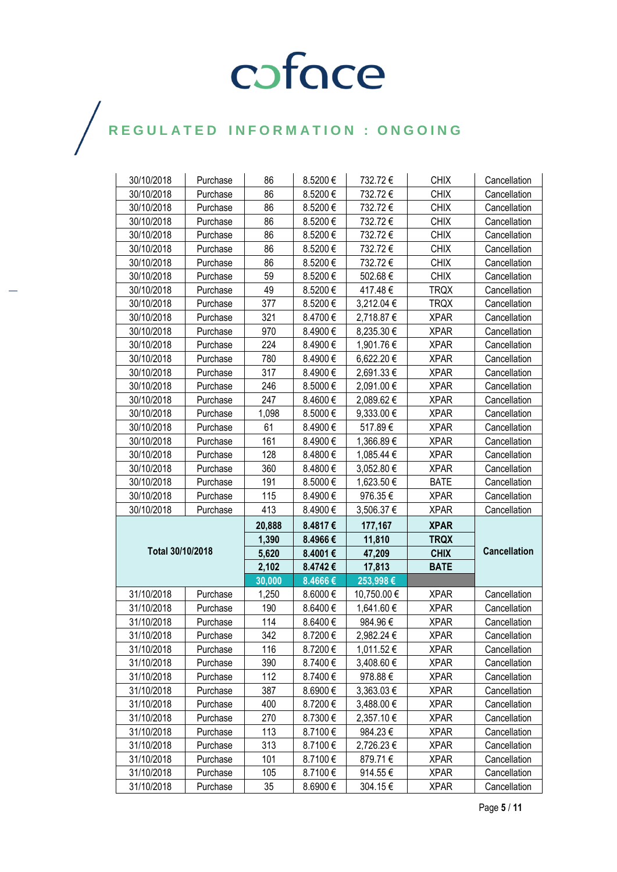| 30/10/2018<br>30/10/2018 | Purchase             | 86<br>86 | 8.5200€<br>8.5200€ | 732.72€<br>732.72€ | <b>CHIX</b><br><b>CHIX</b> | Cancellation                 |  |
|--------------------------|----------------------|----------|--------------------|--------------------|----------------------------|------------------------------|--|
| 30/10/2018               | Purchase<br>Purchase | 86       | 8.5200€            | 732.72€            | <b>CHIX</b>                | Cancellation<br>Cancellation |  |
|                          |                      |          |                    |                    |                            |                              |  |
| 30/10/2018               | Purchase             | 86       | 8.5200€            | 732.72€            | <b>CHIX</b>                | Cancellation                 |  |
| 30/10/2018               | Purchase             | 86       | 8.5200€            | 732.72€            | <b>CHIX</b>                | Cancellation                 |  |
| 30/10/2018               | Purchase             | 86       | 8.5200€            | 732.72€            | <b>CHIX</b>                | Cancellation                 |  |
| 30/10/2018               | Purchase             | 86       | 8.5200€            | 732.72€            | <b>CHIX</b>                | Cancellation                 |  |
| 30/10/2018               | Purchase             | 59       | 8.5200€            | 502.68€            | <b>CHIX</b>                | Cancellation                 |  |
| 30/10/2018               | Purchase             | 49       | 8.5200€            | 417.48€            | <b>TRQX</b>                | Cancellation                 |  |
| 30/10/2018               | Purchase             | 377      | 8.5200€            | 3,212.04 €         | <b>TRQX</b>                | Cancellation                 |  |
| 30/10/2018               | Purchase             | 321      | 8.4700€            | 2,718.87 €         | <b>XPAR</b>                | Cancellation                 |  |
| 30/10/2018               | Purchase             | 970      | 8.4900€            | 8,235.30 €         | <b>XPAR</b>                | Cancellation                 |  |
| 30/10/2018               | Purchase             | 224      | 8.4900€            | 1,901.76 €         | <b>XPAR</b>                | Cancellation                 |  |
| 30/10/2018               | Purchase             | 780      | 8.4900€            | 6,622.20€          | <b>XPAR</b>                | Cancellation                 |  |
| 30/10/2018               | Purchase             | 317      | 8.4900€            | 2,691.33 €         | <b>XPAR</b>                | Cancellation                 |  |
| 30/10/2018               | Purchase             | 246      | 8.5000€            | 2,091.00 €         | <b>XPAR</b>                | Cancellation                 |  |
| 30/10/2018               | Purchase             | 247      | 8.4600€            | 2,089.62€          | <b>XPAR</b>                | Cancellation                 |  |
| 30/10/2018               | Purchase             | 1,098    | 8.5000€            | 9,333.00 €         | <b>XPAR</b>                | Cancellation                 |  |
| 30/10/2018               | Purchase             | 61       | 8.4900€            | 517.89€            | <b>XPAR</b>                | Cancellation                 |  |
| 30/10/2018               | Purchase             | 161      | 8.4900€            | 1,366.89€          | <b>XPAR</b>                | Cancellation                 |  |
| 30/10/2018               | Purchase             | 128      | 8.4800€            | 1,085.44 €         | <b>XPAR</b>                | Cancellation                 |  |
| 30/10/2018               | Purchase             | 360      | 8.4800€            | 3,052.80 €         | <b>XPAR</b>                | Cancellation                 |  |
| 30/10/2018               | Purchase             | 191      | 8.5000€            | 1,623.50 €         | <b>BATE</b>                | Cancellation                 |  |
| 30/10/2018               | Purchase             | 115      | 8.4900€            | 976.35€            | <b>XPAR</b>                | Cancellation                 |  |
| 30/10/2018               | Purchase             | 413      | 8.4900€            | 3,506.37 €         | <b>XPAR</b>                | Cancellation                 |  |
|                          |                      | 20,888   | 8.4817€            | 177,167            | <b>XPAR</b>                |                              |  |
|                          |                      | 1,390    | 8.4966€            | 11,810             | <b>TRQX</b>                |                              |  |
| Total 30/10/2018         |                      | 5,620    | 8.4001€            | 47,209             | <b>CHIX</b>                | <b>Cancellation</b>          |  |
|                          |                      | 2,102    | 8.4742€            | 17,813             | <b>BATE</b>                |                              |  |
|                          |                      | 30,000   | 8.4666€            | 253,998€           |                            |                              |  |
| 31/10/2018               | Purchase             | 1,250    | 8.6000€            | 10,750.00 €        | <b>XPAR</b>                | Cancellation                 |  |
| 31/10/2018               | Purchase             | 190      | 8.6400€            | 1,641.60 €         | <b>XPAR</b>                | Cancellation                 |  |
| 31/10/2018               | Purchase             | 114      | 8.6400€            | 984.96€            | <b>XPAR</b>                | Cancellation                 |  |
| 31/10/2018               | Purchase             | 342      | 8.7200€            | 2,982.24 €         | <b>XPAR</b>                | Cancellation                 |  |
| 31/10/2018               | Purchase             | 116      | 8.7200€            | 1,011.52 €         | <b>XPAR</b>                | Cancellation                 |  |
| 31/10/2018               | Purchase             | 390      | 8.7400€            | 3,408.60 €         | <b>XPAR</b>                | Cancellation                 |  |
| 31/10/2018               | Purchase             | 112      | 8.7400€            | 978.88€            | <b>XPAR</b>                | Cancellation                 |  |
| 31/10/2018               | Purchase             | 387      | 8.6900€            | 3,363.03 €         | <b>XPAR</b>                | Cancellation                 |  |
| 31/10/2018               | Purchase             | 400      | 8.7200€            | 3,488.00 €         | <b>XPAR</b>                | Cancellation                 |  |
| 31/10/2018               | Purchase             | 270      | 8.7300€            | 2,357.10 €         | <b>XPAR</b>                | Cancellation                 |  |
| 31/10/2018               | Purchase             | 113      | 8.7100€            | 984.23€            | <b>XPAR</b>                | Cancellation                 |  |
| 31/10/2018               | Purchase             | 313      | 8.7100€            | 2,726.23€          | <b>XPAR</b>                | Cancellation                 |  |
|                          |                      |          |                    |                    |                            |                              |  |
| 31/10/2018               | Purchase             | 101      | 8.7100€            | 879.71€            | <b>XPAR</b>                | Cancellation                 |  |
| 31/10/2018               | Purchase             | 105      | 8.7100€            | 914.55€            | <b>XPAR</b>                | Cancellation                 |  |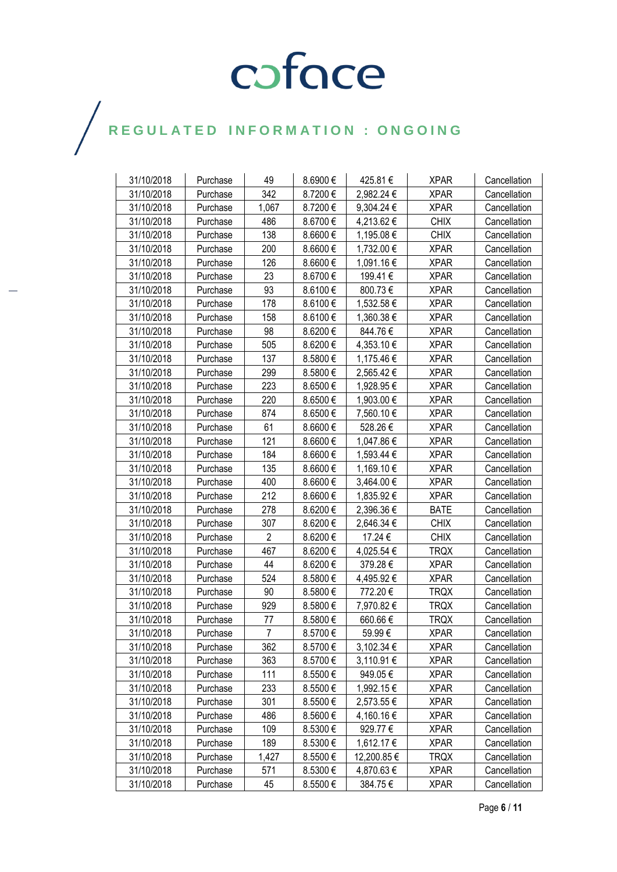| 31/10/2018 | Purchase | 49             | 8.6900€  | 425.81€     | <b>XPAR</b> | Cancellation |
|------------|----------|----------------|----------|-------------|-------------|--------------|
| 31/10/2018 | Purchase | 342            | 8.7200€  | 2,982.24 €  | <b>XPAR</b> | Cancellation |
| 31/10/2018 | Purchase | 1,067          | 8.7200€  | 9,304.24 €  | <b>XPAR</b> | Cancellation |
| 31/10/2018 | Purchase | 486            | 8.6700€  | 4,213.62 €  | <b>CHIX</b> | Cancellation |
| 31/10/2018 | Purchase | 138            | 8.6600€  | 1,195.08 €  | <b>CHIX</b> | Cancellation |
| 31/10/2018 | Purchase | 200            | 8.6600€  | 1,732.00 €  | <b>XPAR</b> | Cancellation |
| 31/10/2018 | Purchase | 126            | 8.6600€  | 1,091.16 €  | <b>XPAR</b> | Cancellation |
| 31/10/2018 | Purchase | 23             | 8.6700€  | 199.41 €    | <b>XPAR</b> | Cancellation |
| 31/10/2018 | Purchase | 93             | 8.6100€  | 800.73€     | <b>XPAR</b> | Cancellation |
| 31/10/2018 | Purchase | 178            | 8.6100€  | 1,532.58 €  | <b>XPAR</b> | Cancellation |
| 31/10/2018 | Purchase | 158            | 8.6100€  | 1,360.38 €  | <b>XPAR</b> | Cancellation |
| 31/10/2018 | Purchase | 98             | 8.6200 € | 844.76€     | <b>XPAR</b> | Cancellation |
| 31/10/2018 | Purchase | 505            | 8.6200€  | 4,353.10 €  | <b>XPAR</b> | Cancellation |
| 31/10/2018 | Purchase | 137            | 8.5800€  | 1,175.46 €  | <b>XPAR</b> | Cancellation |
| 31/10/2018 | Purchase | 299            | 8.5800€  | 2,565.42€   | <b>XPAR</b> | Cancellation |
| 31/10/2018 | Purchase | 223            | 8.6500€  | 1,928.95€   | <b>XPAR</b> | Cancellation |
| 31/10/2018 | Purchase | 220            | 8.6500€  | 1,903.00 €  | <b>XPAR</b> | Cancellation |
| 31/10/2018 | Purchase | 874            | 8.6500€  | 7,560.10 €  | <b>XPAR</b> | Cancellation |
| 31/10/2018 | Purchase | 61             | 8.6600€  | 528.26€     | <b>XPAR</b> | Cancellation |
| 31/10/2018 | Purchase | 121            | 8.6600€  | 1,047.86 €  | <b>XPAR</b> | Cancellation |
| 31/10/2018 | Purchase | 184            | 8.6600€  | 1,593.44 €  | <b>XPAR</b> | Cancellation |
| 31/10/2018 | Purchase | 135            | 8.6600€  | 1,169.10 €  | <b>XPAR</b> | Cancellation |
| 31/10/2018 | Purchase | 400            | 8.6600€  | 3,464.00 €  | <b>XPAR</b> | Cancellation |
| 31/10/2018 | Purchase | 212            | 8.6600€  | 1,835.92 €  | <b>XPAR</b> | Cancellation |
| 31/10/2018 | Purchase | 278            | 8.6200€  | 2,396.36 €  | <b>BATE</b> | Cancellation |
| 31/10/2018 | Purchase | 307            | 8.6200€  | 2,646.34 €  | <b>CHIX</b> | Cancellation |
| 31/10/2018 | Purchase | $\overline{2}$ | 8.6200€  | 17.24 €     | <b>CHIX</b> | Cancellation |
| 31/10/2018 | Purchase | 467            | 8.6200€  | 4,025.54 €  | <b>TRQX</b> | Cancellation |
| 31/10/2018 | Purchase | 44             | 8.6200€  | 379.28€     | <b>XPAR</b> | Cancellation |
| 31/10/2018 | Purchase | 524            | 8.5800€  | 4,495.92 €  | <b>XPAR</b> | Cancellation |
| 31/10/2018 | Purchase | 90             | 8.5800€  | 772.20€     | <b>TRQX</b> | Cancellation |
| 31/10/2018 | Purchase | 929            | 8.5800€  | 7,970.82 €  | <b>TRQX</b> | Cancellation |
| 31/10/2018 | Purchase | 77             | 8.5800€  | 660.66€     | <b>TRQX</b> | Cancellation |
| 31/10/2018 | Purchase | 7              | 8.5700€  | 59.99€      | <b>XPAR</b> | Cancellation |
| 31/10/2018 | Purchase | 362            | 8.5700€  | 3,102.34 €  | <b>XPAR</b> | Cancellation |
| 31/10/2018 | Purchase | 363            | 8.5700€  | 3,110.91 €  | <b>XPAR</b> | Cancellation |
| 31/10/2018 | Purchase | 111            | 8.5500€  | 949.05€     | <b>XPAR</b> | Cancellation |
| 31/10/2018 | Purchase | 233            | 8.5500€  | 1,992.15 €  | <b>XPAR</b> | Cancellation |
| 31/10/2018 | Purchase | 301            | 8.5500€  | 2,573.55 €  | <b>XPAR</b> | Cancellation |
| 31/10/2018 | Purchase | 486            | 8.5600€  | 4,160.16 €  | <b>XPAR</b> | Cancellation |
| 31/10/2018 | Purchase | 109            | 8.5300€  | 929.77 €    | <b>XPAR</b> | Cancellation |
| 31/10/2018 | Purchase | 189            | 8.5300€  | 1,612.17 €  | <b>XPAR</b> | Cancellation |
| 31/10/2018 | Purchase | 1,427          | 8.5500€  | 12,200.85 € | <b>TRQX</b> | Cancellation |
| 31/10/2018 | Purchase | 571            | 8.5300€  | 4,870.63 €  | <b>XPAR</b> | Cancellation |
| 31/10/2018 | Purchase | 45             | 8.5500€  | 384.75€     | <b>XPAR</b> | Cancellation |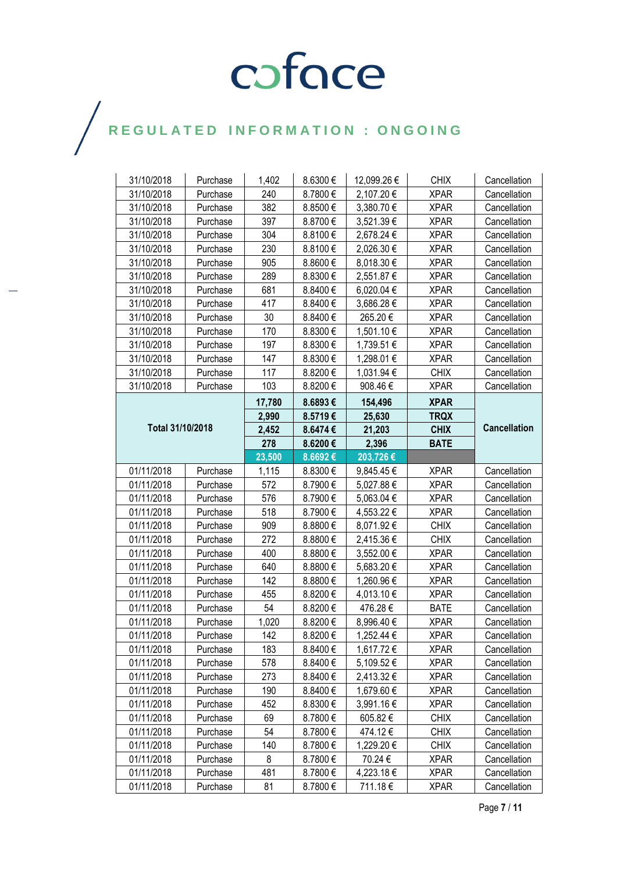| 31/10/2018       | Purchase | 1,402  | 8.6300€  | 12,099.26 € | <b>CHIX</b> | Cancellation        |
|------------------|----------|--------|----------|-------------|-------------|---------------------|
| 31/10/2018       | Purchase | 240    | 8.7800€  | 2,107.20 €  | <b>XPAR</b> | Cancellation        |
| 31/10/2018       | Purchase | 382    | 8.8500€  | 3,380.70€   | <b>XPAR</b> | Cancellation        |
| 31/10/2018       | Purchase | 397    | 8.8700€  | 3,521.39 €  | <b>XPAR</b> | Cancellation        |
| 31/10/2018       | Purchase | 304    | 8.8100€  | 2,678.24 €  | <b>XPAR</b> | Cancellation        |
| 31/10/2018       | Purchase | 230    | 8.8100€  | 2,026.30 €  | <b>XPAR</b> | Cancellation        |
| 31/10/2018       | Purchase | 905    | 8.8600€  | 8,018.30 €  | <b>XPAR</b> | Cancellation        |
| 31/10/2018       | Purchase | 289    | 8.8300€  | 2,551.87 €  | <b>XPAR</b> | Cancellation        |
| 31/10/2018       | Purchase | 681    | 8.8400€  | 6,020.04 €  | <b>XPAR</b> | Cancellation        |
| 31/10/2018       | Purchase | 417    | 8.8400€  | 3,686.28 €  | <b>XPAR</b> | Cancellation        |
| 31/10/2018       | Purchase | 30     | 8.8400€  | 265.20€     | <b>XPAR</b> | Cancellation        |
| 31/10/2018       | Purchase | 170    | 8.8300€  | 1,501.10 €  | <b>XPAR</b> | Cancellation        |
| 31/10/2018       | Purchase | 197    | 8.8300€  | 1,739.51 €  | <b>XPAR</b> | Cancellation        |
| 31/10/2018       | Purchase | 147    | 8.8300 € | 1,298.01 €  | <b>XPAR</b> | Cancellation        |
| 31/10/2018       | Purchase | 117    | 8.8200€  | 1,031.94 €  | <b>CHIX</b> | Cancellation        |
| 31/10/2018       | Purchase | 103    | 8.8200€  | 908.46€     | <b>XPAR</b> | Cancellation        |
|                  |          | 17,780 | 8.6893€  | 154,496     | <b>XPAR</b> |                     |
|                  |          | 2,990  | 8.5719€  | 25,630      | <b>TRQX</b> |                     |
| Total 31/10/2018 |          | 2,452  | 8.6474€  | 21,203      | <b>CHIX</b> | <b>Cancellation</b> |
|                  |          | 278    | 8.6200€  | 2,396       | <b>BATE</b> |                     |
|                  |          | 23,500 | 8.6692€  | 203,726€    |             |                     |
| 01/11/2018       | Purchase | 1,115  | 8.8300€  | 9,845.45 €  | <b>XPAR</b> | Cancellation        |
| 01/11/2018       | Purchase | 572    | 8.7900 € | 5,027.88 €  | <b>XPAR</b> | Cancellation        |
| 01/11/2018       | Purchase | 576    | 8.7900€  | 5,063.04 €  | <b>XPAR</b> | Cancellation        |
| 01/11/2018       | Purchase | 518    | 8.7900€  | 4,553.22 €  | <b>XPAR</b> | Cancellation        |
| 01/11/2018       | Purchase | 909    | 8.8800€  | 8,071.92€   | <b>CHIX</b> | Cancellation        |
| 01/11/2018       | Purchase | 272    | 8.8800€  | 2,415.36 €  | <b>CHIX</b> | Cancellation        |
| 01/11/2018       | Purchase | 400    | 8.8800€  | 3,552.00 €  | <b>XPAR</b> | Cancellation        |
| 01/11/2018       | Purchase | 640    | 8.8800€  | 5,683.20 €  | <b>XPAR</b> | Cancellation        |
| 01/11/2018       | Purchase | 142    | 8.8800€  | 1,260.96 €  | <b>XPAR</b> | Cancellation        |
| 01/11/2018       | Purchase | 455    | 8.8200€  | 4,013.10 €  | <b>XPAR</b> | Cancellation        |
| 01/11/2018       | Purchase | 54     | 8.8200€  | 476.28€     | <b>BATE</b> | Cancellation        |
| 01/11/2018       | Purchase | 1,020  | 8.8200€  | 8,996.40 €  | <b>XPAR</b> | Cancellation        |
| 01/11/2018       | Purchase | 142    | 8.8200€  | 1,252.44 €  | <b>XPAR</b> | Cancellation        |
| 01/11/2018       | Purchase | 183    | 8.8400€  | 1,617.72 €  | <b>XPAR</b> | Cancellation        |
| 01/11/2018       | Purchase | 578    | 8.8400€  | 5,109.52 €  | <b>XPAR</b> | Cancellation        |
| 01/11/2018       | Purchase | 273    | 8.8400€  | 2,413.32 €  | <b>XPAR</b> | Cancellation        |
| 01/11/2018       | Purchase | 190    | 8.8400€  | 1,679.60 €  | <b>XPAR</b> | Cancellation        |
| 01/11/2018       | Purchase | 452    | 8.8300€  | 3,991.16€   | <b>XPAR</b> | Cancellation        |
| 01/11/2018       | Purchase | 69     | 8.7800€  | 605.82€     | <b>CHIX</b> | Cancellation        |
| 01/11/2018       | Purchase | 54     | 8.7800€  | 474.12€     | <b>CHIX</b> | Cancellation        |
| 01/11/2018       | Purchase | 140    | 8.7800€  | 1,229.20 €  | <b>CHIX</b> | Cancellation        |
| 01/11/2018       | Purchase | 8      | 8.7800€  | 70.24 €     | <b>XPAR</b> | Cancellation        |
| 01/11/2018       | Purchase | 481    | 8.7800€  | 4,223.18 €  | <b>XPAR</b> | Cancellation        |
| 01/11/2018       | Purchase | 81     | 8.7800€  | 711.18€     | <b>XPAR</b> | Cancellation        |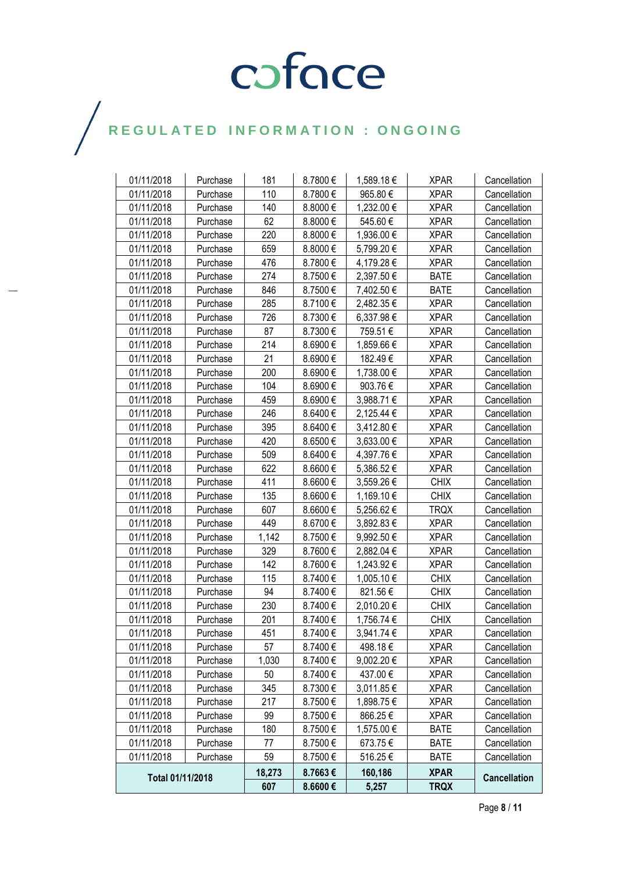| 01/11/2018       | Purchase | 181    | 8.7800€  | 1,589.18€  | <b>XPAR</b> | Cancellation        |
|------------------|----------|--------|----------|------------|-------------|---------------------|
| 01/11/2018       | Purchase | 110    | 8.7800€  | 965.80€    | <b>XPAR</b> | Cancellation        |
| 01/11/2018       | Purchase | 140    | 8.8000€  | 1,232.00 € | <b>XPAR</b> | Cancellation        |
| 01/11/2018       | Purchase | 62     | 8.8000€  | 545.60€    | <b>XPAR</b> | Cancellation        |
| 01/11/2018       | Purchase | 220    | 8.8000€  | 1,936.00 € | <b>XPAR</b> | Cancellation        |
| 01/11/2018       | Purchase | 659    | 8.8000€  | 5,799.20 € | <b>XPAR</b> | Cancellation        |
| 01/11/2018       | Purchase | 476    | 8.7800€  | 4,179.28 € | <b>XPAR</b> | Cancellation        |
| 01/11/2018       | Purchase | 274    | 8.7500€  | 2,397.50 € | <b>BATE</b> | Cancellation        |
| 01/11/2018       | Purchase | 846    | 8.7500€  | 7,402.50 € | <b>BATE</b> | Cancellation        |
| 01/11/2018       | Purchase | 285    | 8.7100€  | 2,482.35 € | <b>XPAR</b> | Cancellation        |
| 01/11/2018       | Purchase | 726    | 8.7300€  | 6,337.98 € | <b>XPAR</b> | Cancellation        |
| 01/11/2018       | Purchase | 87     | 8.7300€  | 759.51€    | <b>XPAR</b> | Cancellation        |
| 01/11/2018       | Purchase | 214    | 8.6900€  | 1,859.66 € | <b>XPAR</b> | Cancellation        |
| 01/11/2018       | Purchase | 21     | 8.6900€  | 182.49€    | <b>XPAR</b> | Cancellation        |
| 01/11/2018       | Purchase | 200    | 8.6900€  | 1,738.00 € | <b>XPAR</b> | Cancellation        |
| 01/11/2018       | Purchase | 104    | 8.6900€  | 903.76€    | <b>XPAR</b> | Cancellation        |
| 01/11/2018       | Purchase | 459    | 8.6900 € | 3,988.71 € | <b>XPAR</b> | Cancellation        |
| 01/11/2018       | Purchase | 246    | 8.6400€  | 2,125.44 € | <b>XPAR</b> | Cancellation        |
| 01/11/2018       | Purchase | 395    | 8.6400€  | 3,412.80 € | <b>XPAR</b> | Cancellation        |
| 01/11/2018       | Purchase | 420    | 8.6500€  | 3,633.00 € | <b>XPAR</b> | Cancellation        |
| 01/11/2018       | Purchase | 509    | 8.6400€  | 4,397.76€  | <b>XPAR</b> | Cancellation        |
| 01/11/2018       | Purchase | 622    | 8.6600€  | 5,386.52€  | <b>XPAR</b> | Cancellation        |
| 01/11/2018       | Purchase | 411    | 8.6600€  | 3,559.26 € | <b>CHIX</b> | Cancellation        |
| 01/11/2018       | Purchase | 135    | 8.6600€  | 1,169.10 € | <b>CHIX</b> | Cancellation        |
| 01/11/2018       | Purchase | 607    | 8.6600€  | 5,256.62€  | <b>TRQX</b> | Cancellation        |
| 01/11/2018       | Purchase | 449    | 8.6700€  | 3,892.83 € | <b>XPAR</b> | Cancellation        |
| 01/11/2018       | Purchase | 1,142  | 8.7500€  | 9,992.50 € | <b>XPAR</b> | Cancellation        |
| 01/11/2018       | Purchase | 329    | 8.7600€  | 2,882.04 € | <b>XPAR</b> | Cancellation        |
| 01/11/2018       | Purchase | 142    | 8.7600€  | 1,243.92 € | <b>XPAR</b> | Cancellation        |
| 01/11/2018       | Purchase | 115    | 8.7400€  | 1,005.10 € | <b>CHIX</b> | Cancellation        |
| 01/11/2018       | Purchase | 94     | 8.7400€  | 821.56€    | <b>CHIX</b> | Cancellation        |
| 01/11/2018       | Purchase | 230    | 8.7400€  | 2,010.20 € | <b>CHIX</b> | Cancellation        |
| 01/11/2018       | Purchase | 201    | 8.7400€  | 1,756.74 € | <b>CHIX</b> | Cancellation        |
| 01/11/2018       | Purchase | 451    | 8.7400€  | 3,941.74 € | <b>XPAR</b> | Cancellation        |
| 01/11/2018       | Purchase | 57     | 8.7400€  | 498.18€    | <b>XPAR</b> | Cancellation        |
| 01/11/2018       | Purchase | 1,030  | 8.7400€  | 9,002.20 € | <b>XPAR</b> | Cancellation        |
| 01/11/2018       | Purchase | 50     | 8.7400€  | 437.00 €   | <b>XPAR</b> | Cancellation        |
| 01/11/2018       | Purchase | 345    | 8.7300€  | 3,011.85€  | <b>XPAR</b> | Cancellation        |
| 01/11/2018       | Purchase | 217    | 8.7500€  | 1,898.75 € | <b>XPAR</b> | Cancellation        |
| 01/11/2018       | Purchase | 99     | 8.7500€  | 866.25€    | <b>XPAR</b> | Cancellation        |
| 01/11/2018       | Purchase | 180    | 8.7500€  | 1,575.00 € | <b>BATE</b> | Cancellation        |
| 01/11/2018       | Purchase | 77     | 8.7500€  | 673.75€    | <b>BATE</b> | Cancellation        |
| 01/11/2018       | Purchase | 59     | 8.7500€  | 516.25€    | <b>BATE</b> | Cancellation        |
|                  |          | 18,273 | 8.7663€  | 160,186    | <b>XPAR</b> | <b>Cancellation</b> |
| Total 01/11/2018 |          | 607    | 8.6600€  | 5,257      | <b>TRQX</b> |                     |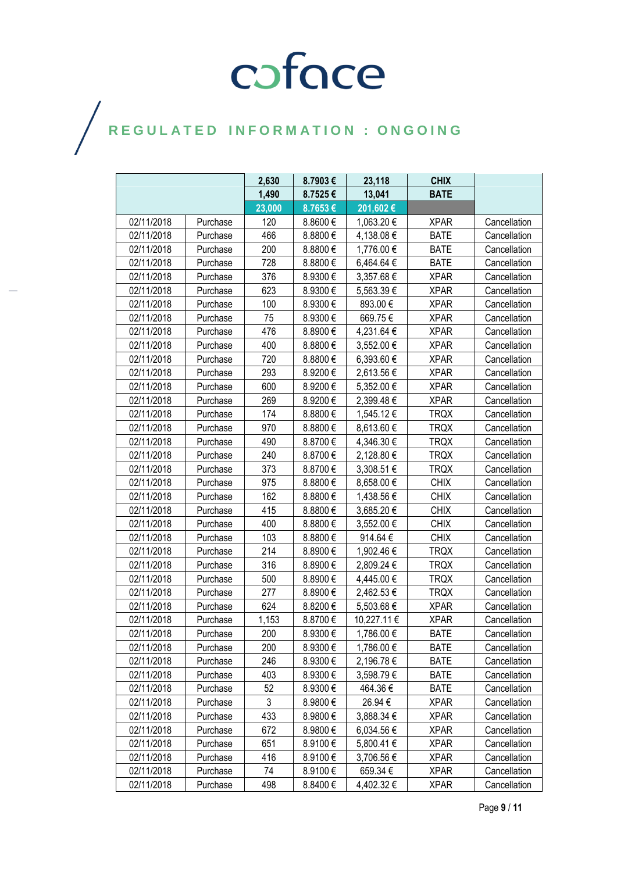|            |          | 2,630  | 8.7903€      | 23,118      | <b>CHIX</b> |              |
|------------|----------|--------|--------------|-------------|-------------|--------------|
|            |          | 1,490  | 8.7525€      | 13,041      | <b>BATE</b> |              |
|            |          | 23,000 | 8.7653€      | 201,602€    |             |              |
| 02/11/2018 | Purchase | 120    | 8.8600€      | 1,063.20 €  | <b>XPAR</b> | Cancellation |
| 02/11/2018 | Purchase | 466    | 8.8800€      | 4,138.08 €  | <b>BATE</b> | Cancellation |
| 02/11/2018 | Purchase | 200    | 8.8800€      | 1,776.00 €  | <b>BATE</b> | Cancellation |
| 02/11/2018 | Purchase | 728    | 8.8800€      | 6,464.64 €  | <b>BATE</b> | Cancellation |
| 02/11/2018 | Purchase | 376    | 8.9300€      | 3,357.68 €  | <b>XPAR</b> | Cancellation |
| 02/11/2018 | Purchase | 623    | 8.9300€      | 5,563.39€   | <b>XPAR</b> | Cancellation |
| 02/11/2018 | Purchase | 100    | 8.9300€      | 893.00€     | <b>XPAR</b> | Cancellation |
| 02/11/2018 | Purchase | 75     | 8.9300€      | 669.75€     | <b>XPAR</b> | Cancellation |
| 02/11/2018 | Purchase | 476    | 8.8900€      | 4,231.64 €  | <b>XPAR</b> | Cancellation |
| 02/11/2018 | Purchase | 400    | 8.8800€      | 3,552.00 €  | <b>XPAR</b> | Cancellation |
| 02/11/2018 | Purchase | 720    | 8.8800€      | 6,393.60 €  | <b>XPAR</b> | Cancellation |
| 02/11/2018 | Purchase | 293    | 8.9200€      | 2,613.56 €  | <b>XPAR</b> | Cancellation |
| 02/11/2018 | Purchase | 600    | 8.9200€      | 5,352.00 €  | <b>XPAR</b> | Cancellation |
| 02/11/2018 | Purchase | 269    | 8.9200€      | 2,399.48€   | <b>XPAR</b> | Cancellation |
| 02/11/2018 | Purchase | 174    | 8.8800€      | 1,545.12 €  | <b>TRQX</b> | Cancellation |
| 02/11/2018 | Purchase | 970    | 8.8800€      | 8,613.60 €  | <b>TRQX</b> | Cancellation |
| 02/11/2018 | Purchase | 490    | 8.8700€      | 4,346.30 €  | <b>TRQX</b> | Cancellation |
| 02/11/2018 | Purchase | 240    | 8.8700€      | 2,128.80 €  | <b>TRQX</b> | Cancellation |
| 02/11/2018 | Purchase | 373    | 8.8700€      | 3,308.51 €  | <b>TRQX</b> | Cancellation |
| 02/11/2018 | Purchase | 975    | 8.8800€      | 8,658.00 €  | <b>CHIX</b> | Cancellation |
| 02/11/2018 | Purchase | 162    | 8.8800€      | 1,438.56 €  | <b>CHIX</b> | Cancellation |
| 02/11/2018 | Purchase | 415    | 8.8800€      | 3,685.20 €  | <b>CHIX</b> | Cancellation |
| 02/11/2018 | Purchase | 400    | 8.8800 $\in$ | 3,552.00 €  | <b>CHIX</b> | Cancellation |
| 02/11/2018 | Purchase | 103    | 8.8800€      | 914.64€     | <b>CHIX</b> | Cancellation |
| 02/11/2018 | Purchase | 214    | 8.8900€      | 1,902.46 €  | <b>TRQX</b> | Cancellation |
| 02/11/2018 | Purchase | 316    | 8.8900€      | 2,809.24 €  | <b>TRQX</b> | Cancellation |
| 02/11/2018 | Purchase | 500    | 8.8900€      | 4,445.00 €  | <b>TRQX</b> | Cancellation |
| 02/11/2018 | Purchase | 277    | 8.8900€      | 2,462.53 €  | <b>TRQX</b> | Cancellation |
| 02/11/2018 | Purchase | 624    | 8.8200€      | 5,503.68 €  | <b>XPAR</b> | Cancellation |
| 02/11/2018 | Purchase | 1,153  | 8.8700€      | 10,227.11 € | <b>XPAR</b> | Cancellation |
| 02/11/2018 | Purchase | 200    | 8.9300€      | 1,786.00 €  | <b>BATE</b> | Cancellation |
| 02/11/2018 | Purchase | 200    | 8.9300€      | 1,786.00 €  | <b>BATE</b> | Cancellation |
| 02/11/2018 | Purchase | 246    | 8.9300€      | 2,196.78€   | <b>BATE</b> | Cancellation |
| 02/11/2018 | Purchase | 403    | 8.9300€      | 3,598.79€   | <b>BATE</b> | Cancellation |
| 02/11/2018 | Purchase | 52     | 8.9300€      | 464.36€     | <b>BATE</b> | Cancellation |
| 02/11/2018 | Purchase | 3      | 8.9800€      | 26.94 €     | <b>XPAR</b> | Cancellation |
| 02/11/2018 | Purchase | 433    | 8.9800€      | 3,888.34 €  | <b>XPAR</b> | Cancellation |
| 02/11/2018 | Purchase | 672    | 8.9800€      | 6,034.56€   | <b>XPAR</b> | Cancellation |
| 02/11/2018 | Purchase | 651    | 8.9100€      | 5,800.41€   | <b>XPAR</b> | Cancellation |
| 02/11/2018 | Purchase | 416    | 8.9100€      | 3,706.56 €  | <b>XPAR</b> | Cancellation |
| 02/11/2018 | Purchase | 74     | 8.9100 €     | 659.34 €    | <b>XPAR</b> | Cancellation |
| 02/11/2018 | Purchase | 498    | 8.8400€      | 4,402.32 €  | <b>XPAR</b> | Cancellation |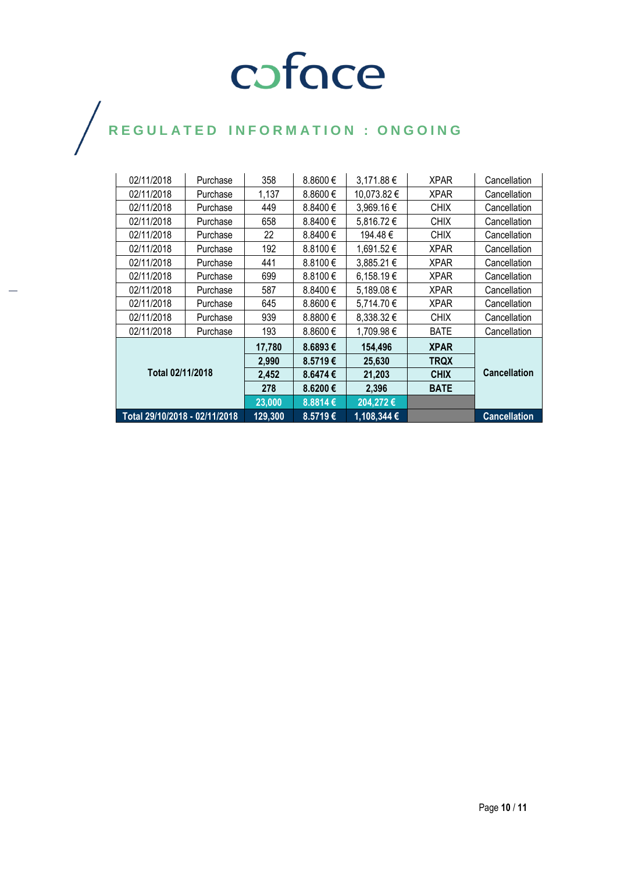| 02/11/2018                    | Purchase | 358     | 8.8600€  | 3,171.88 €     | <b>XPAR</b> | Cancellation        |
|-------------------------------|----------|---------|----------|----------------|-------------|---------------------|
| 02/11/2018                    | Purchase | 1,137   | 8.8600€  | 10,073.82 €    | <b>XPAR</b> | Cancellation        |
| 02/11/2018                    | Purchase | 449     | 8.8400 € | 3,969.16 €     | <b>CHIX</b> | Cancellation        |
| 02/11/2018                    | Purchase | 658     | 8.8400 € | 5,816.72 €     | <b>CHIX</b> | Cancellation        |
| 02/11/2018                    | Purchase | 22      | 8.8400 € | 194.48 €       | <b>CHIX</b> | Cancellation        |
| 02/11/2018                    | Purchase | 192     | 8.8100€  | 1,691.52 €     | <b>XPAR</b> | Cancellation        |
| 02/11/2018                    | Purchase | 441     | 8.8100€  | 3,885.21 €     | <b>XPAR</b> | Cancellation        |
| 02/11/2018                    | Purchase | 699     | 8.8100€  | 6,158.19€      | <b>XPAR</b> | Cancellation        |
| 02/11/2018                    | Purchase | 587     | 8.8400 € | 5,189.08 €     | <b>XPAR</b> | Cancellation        |
| 02/11/2018                    | Purchase | 645     | 8.8600€  | 5,714.70€      | <b>XPAR</b> | Cancellation        |
| 02/11/2018                    | Purchase | 939     | 8.8800€  | $8,338.32 \in$ | <b>CHIX</b> | Cancellation        |
| 02/11/2018                    | Purchase | 193     | 8.8600€  | 1,709.98 €     | <b>BATE</b> | Cancellation        |
| Total 02/11/2018              |          | 17,780  | 8.6893€  | 154,496        | <b>XPAR</b> |                     |
|                               |          | 2,990   | 8.5719€  | 25,630         | <b>TRQX</b> |                     |
|                               |          | 2,452   | 8.6474€  | 21,203         | <b>CHIX</b> | <b>Cancellation</b> |
|                               |          | 278     | 8.6200€  | 2,396          | <b>BATE</b> |                     |
|                               |          | 23,000  | 8.8814€  | 204,272€       |             |                     |
| Total 29/10/2018 - 02/11/2018 |          | 129,300 | 8.5719€  | 1,108,344 €    |             | <b>Cancellation</b> |